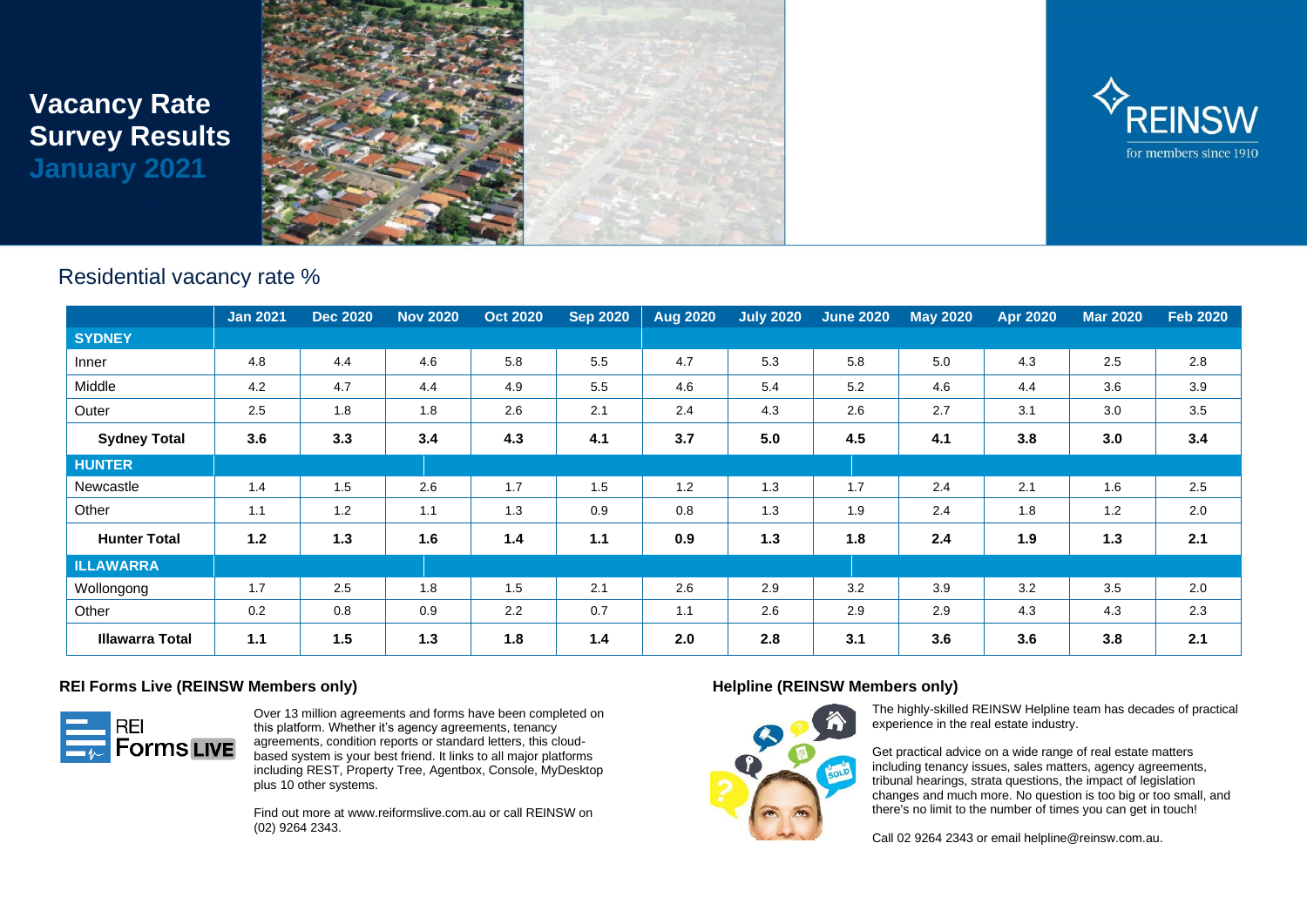# **Vacancy Rate Survey Results January 2021**





## Residential vacancy rate %

|                        | <b>Jan 2021</b> | <b>Dec 2020</b> | <b>Nov 2020</b> | <b>Oct 2020</b> | <b>Sep 2020</b> | <b>Aug 2020</b> | <b>July 2020</b> | <b>June 2020</b> | <b>May 2020</b> | <b>Apr 2020</b> | <b>Mar 2020</b> | <b>Feb 2020</b> |
|------------------------|-----------------|-----------------|-----------------|-----------------|-----------------|-----------------|------------------|------------------|-----------------|-----------------|-----------------|-----------------|
| <b>SYDNEY</b>          |                 |                 |                 |                 |                 |                 |                  |                  |                 |                 |                 |                 |
| Inner                  | 4.8             | 4.4             | 4.6             | 5.8             | 5.5             | 4.7             | 5.3              | 5.8              | 5.0             | 4.3             | 2.5             | 2.8             |
| Middle                 | 4.2             | 4.7             | 4.4             | 4.9             | 5.5             | 4.6             | 5.4              | 5.2              | 4.6             | 4.4             | 3.6             | 3.9             |
| Outer                  | 2.5             | 1.8             | 1.8             | 2.6             | 2.1             | 2.4             | 4.3              | 2.6              | 2.7             | 3.1             | 3.0             | 3.5             |
| <b>Sydney Total</b>    | 3.6             | 3.3             | 3.4             | 4.3             | 4.1             | 3.7             | 5.0              | 4.5              | 4.1             | 3.8             | 3.0             | 3.4             |
| <b>HUNTER</b>          |                 |                 |                 |                 |                 |                 |                  |                  |                 |                 |                 |                 |
| Newcastle              | 1.4             | 1.5             | 2.6             | 1.7             | 1.5             | 1.2             | 1.3              | 1.7              | 2.4             | 2.1             | 1.6             | 2.5             |
| Other                  | 1.1             | 1.2             | 1.1             | 1.3             | 0.9             | 0.8             | 1.3              | 1.9              | 2.4             | 1.8             | 1.2             | 2.0             |
| <b>Hunter Total</b>    | 1.2             | 1.3             | 1.6             | 1.4             | 1.1             | 0.9             | 1.3              | 1.8              | 2.4             | 1.9             | 1.3             | 2.1             |
| <b>ILLAWARRA</b>       |                 |                 |                 |                 |                 |                 |                  |                  |                 |                 |                 |                 |
| Wollongong             | 1.7             | 2.5             | 1.8             | 1.5             | 2.1             | 2.6             | 2.9              | 3.2              | 3.9             | 3.2             | 3.5             | 2.0             |
| Other                  | 0.2             | 0.8             | 0.9             | 2.2             | 0.7             | 1.1             | 2.6              | 2.9              | 2.9             | 4.3             | 4.3             | 2.3             |
| <b>Illawarra Total</b> | 1.1             | 1.5             | 1.3             | 1.8             | 1.4             | 2.0             | 2.8              | 3.1              | 3.6             | 3.6             | 3.8             | 2.1             |

### **REI Forms Live (REINSW Members only)**



Over 13 million agreements and forms have been completed on this platform. Whether it's agency agreements, tenancy agreements, condition reports or standard letters, this cloudbased system is your best friend. It links to all major platforms including REST, Property Tree, Agentbox, Console, MyDesktop plus 10 other systems.

Find out more at www.reiformslive.com.au or call REINSW on (02) 9264 2343.

### **Helpline (REINSW Members only)**



The highly-skilled REINSW Helpline team has decades of practical experience in the real estate industry.

Get practical advice on a wide range of real estate matters including tenancy issues, sales matters, agency agreements, tribunal hearings, strata questions, the impact of legislation changes and much more. No question is too big or too small, and there's no limit to the number of times you can get in touch!

Call 02 9264 2343 or email helpline@reinsw.com.au.